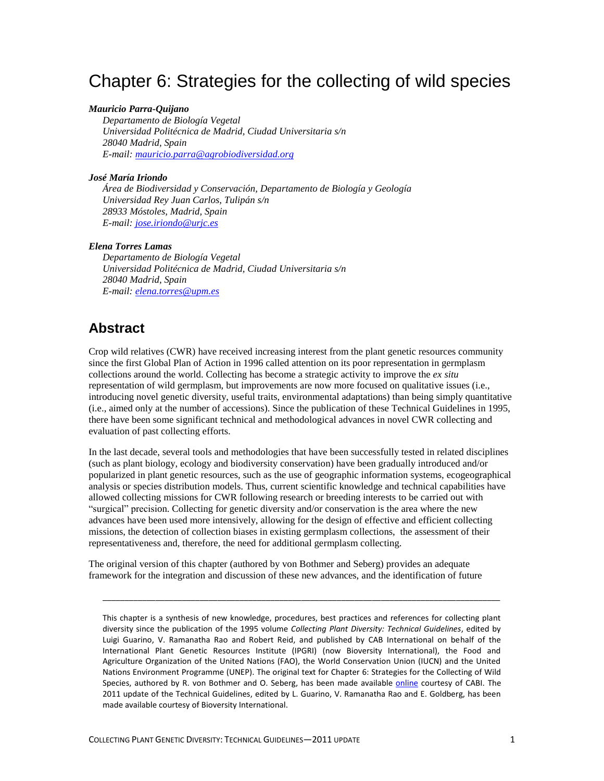# Chapter 6: Strategies for the collecting of wild species

#### *Mauricio Parra-Quijano*

*Departamento de Biología Vegetal Universidad Politécnica de Madrid, Ciudad Universitaria s/n 28040 Madrid, Spain E-mail: [mauricio.parra@agrobiodiversidad.org](mailto:mauricio.parra@agrobiodiversidad.org)*

#### *José María Iriondo*

*Área de Biodiversidad y Conservación, Departamento de Biología y Geología Universidad Rey Juan Carlos, Tulipán s/n 28933 Móstoles, Madrid, Spain E-mail: [jose.iriondo@urjc.es](mailto:jose.iriondo@urjc.es)*

#### *Elena Torres Lamas*

*Departamento de Biología Vegetal Universidad Politécnica de Madrid, Ciudad Universitaria s/n 28040 Madrid, Spain E-mail: [elena.torres@upm.es](mailto:elena.torres@upm.es)*

# **Abstract**

Crop wild relatives (CWR) have received increasing interest from the plant genetic resources community since the first Global Plan of Action in 1996 called attention on its poor representation in germplasm collections around the world. Collecting has become a strategic activity to improve the *ex situ* representation of wild germplasm, but improvements are now more focused on qualitative issues (i.e., introducing novel genetic diversity, useful traits, environmental adaptations) than being simply quantitative (i.e., aimed only at the number of accessions). Since the publication of these Technical Guidelines in 1995, there have been some significant technical and methodological advances in novel CWR collecting and evaluation of past collecting efforts.

In the last decade, several tools and methodologies that have been successfully tested in related disciplines (such as plant biology, ecology and biodiversity conservation) have been gradually introduced and/or popularized in plant genetic resources, such as the use of geographic information systems, ecogeographical analysis or species distribution models. Thus, current scientific knowledge and technical capabilities have allowed collecting missions for CWR following research or breeding interests to be carried out with "surgical" precision. Collecting for genetic diversity and/or conservation is the area where the new advances have been used more intensively, allowing for the design of effective and efficient collecting missions, the detection of collection biases in existing germplasm collections, the assessment of their representativeness and, therefore, the need for additional germplasm collecting.

The original version of this chapter (authored by von Bothmer and Seberg) provides an adequate framework for the integration and discussion of these new advances, and the identification of future

\_\_\_\_\_\_\_\_\_\_\_\_\_\_\_\_\_\_\_\_\_\_\_\_\_\_\_\_\_\_\_\_\_\_\_\_\_\_\_\_\_\_\_\_\_\_\_\_\_\_\_\_\_\_\_\_\_\_\_\_\_\_\_\_\_\_\_\_\_\_\_\_\_\_\_\_\_\_\_\_\_\_\_\_\_\_\_\_\_\_

This chapter is a synthesis of new knowledge, procedures, best practices and references for collecting plant diversity since the publication of the 1995 volume *Collecting Plant Diversity: Technical Guidelines*, edited by Luigi Guarino, V. Ramanatha Rao and Robert Reid, and published by CAB International on behalf of the International Plant Genetic Resources Institute (IPGRI) (now Bioversity International), the Food and Agriculture Organization of the United Nations (FAO), the World Conservation Union (IUCN) and the United Nations Environment Programme (UNEP). The original text for Chapter 6: Strategies for the Collecting of Wild Species, authored by R. von Bothmer and O. Seberg, has been made available [online](http://cropgenebank.sgrp.cgiar.org/images/file/procedures/collecting1995/Chapter6.pdf) courtesy of CABI. The 2011 update of the Technical Guidelines, edited by L. Guarino, V. Ramanatha Rao and E. Goldberg, has been made available courtesy of Bioversity International.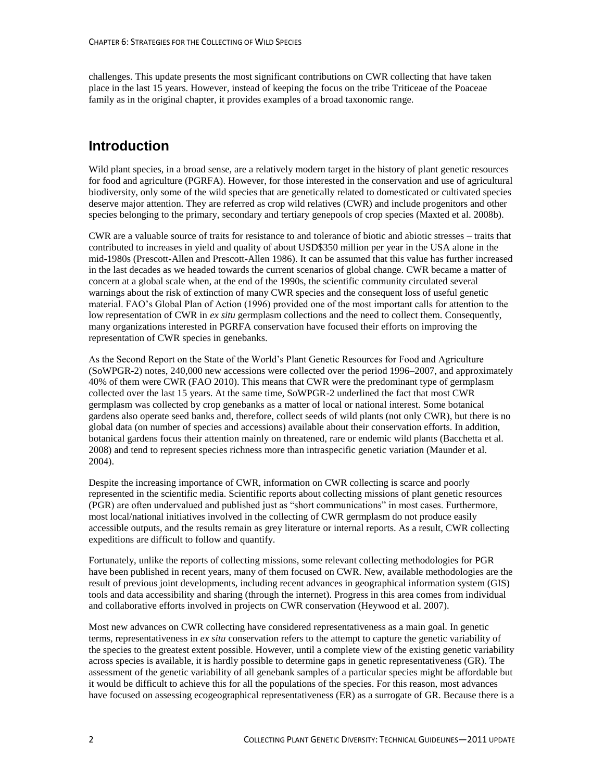challenges. This update presents the most significant contributions on CWR collecting that have taken place in the last 15 years. However, instead of keeping the focus on the tribe Triticeae of the Poaceae family as in the original chapter, it provides examples of a broad taxonomic range.

# **Introduction**

Wild plant species, in a broad sense, are a relatively modern target in the history of plant genetic resources for food and agriculture (PGRFA). However, for those interested in the conservation and use of agricultural biodiversity, only some of the wild species that are genetically related to domesticated or cultivated species deserve major attention. They are referred as crop wild relatives (CWR) and include progenitors and other species belonging to the primary, secondary and tertiary genepools of crop species (Maxted et al. 2008b).

CWR are a valuable source of traits for resistance to and tolerance of biotic and abiotic stresses – traits that contributed to increases in yield and quality of about USD\$350 million per year in the USA alone in the mid-1980s (Prescott-Allen and Prescott-Allen 1986). It can be assumed that this value has further increased in the last decades as we headed towards the current scenarios of global change. CWR became a matter of concern at a global scale when, at the end of the 1990s, the scientific community circulated several warnings about the risk of extinction of many CWR species and the consequent loss of useful genetic material. FAO's Global Plan of Action (1996) provided one of the most important calls for attention to the low representation of CWR in *ex situ* germplasm collections and the need to collect them. Consequently, many organizations interested in PGRFA conservation have focused their efforts on improving the representation of CWR species in genebanks.

As the Second Report on the State of the World's Plant Genetic Resources for Food and Agriculture (SoWPGR-2) notes, 240,000 new accessions were collected over the period 1996–2007, and approximately 40% of them were CWR (FAO 2010). This means that CWR were the predominant type of germplasm collected over the last 15 years. At the same time, SoWPGR-2 underlined the fact that most CWR germplasm was collected by crop genebanks as a matter of local or national interest. Some botanical gardens also operate seed banks and, therefore, collect seeds of wild plants (not only CWR), but there is no global data (on number of species and accessions) available about their conservation efforts. In addition, botanical gardens focus their attention mainly on threatened, rare or endemic wild plants (Bacchetta et al. 2008) and tend to represent species richness more than intraspecific genetic variation (Maunder et al. 2004).

Despite the increasing importance of CWR, information on CWR collecting is scarce and poorly represented in the scientific media. Scientific reports about collecting missions of plant genetic resources (PGR) are often undervalued and published just as "short communications" in most cases. Furthermore, most local/national initiatives involved in the collecting of CWR germplasm do not produce easily accessible outputs, and the results remain as grey literature or internal reports. As a result, CWR collecting expeditions are difficult to follow and quantify.

Fortunately, unlike the reports of collecting missions, some relevant collecting methodologies for PGR have been published in recent years, many of them focused on CWR. New, available methodologies are the result of previous joint developments, including recent advances in geographical information system (GIS) tools and data accessibility and sharing (through the internet). Progress in this area comes from individual and collaborative efforts involved in projects on CWR conservation (Heywood et al. 2007).

Most new advances on CWR collecting have considered representativeness as a main goal. In genetic terms, representativeness in *ex situ* conservation refers to the attempt to capture the genetic variability of the species to the greatest extent possible. However, until a complete view of the existing genetic variability across species is available, it is hardly possible to determine gaps in genetic representativeness (GR). The assessment of the genetic variability of all genebank samples of a particular species might be affordable but it would be difficult to achieve this for all the populations of the species. For this reason, most advances have focused on assessing ecogeographical representativeness (ER) as a surrogate of GR. Because there is a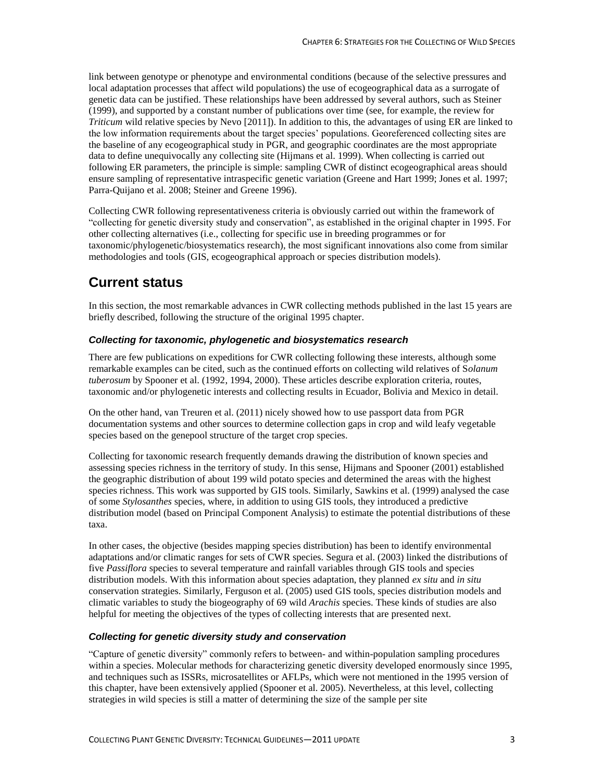link between genotype or phenotype and environmental conditions (because of the selective pressures and local adaptation processes that affect wild populations) the use of ecogeographical data as a surrogate of genetic data can be justified. These relationships have been addressed by several authors, such as Steiner (1999), and supported by a constant number of publications over time (see, for example, the review for *Triticum* wild relative species by Nevo [2011]). In addition to this, the advantages of using ER are linked to the low information requirements about the target species' populations. Georeferenced collecting sites are the baseline of any ecogeographical study in PGR, and geographic coordinates are the most appropriate data to define unequivocally any collecting site (Hijmans et al. 1999). When collecting is carried out following ER parameters, the principle is simple: sampling CWR of distinct ecogeographical areas should ensure sampling of representative intraspecific genetic variation (Greene and Hart 1999; Jones et al. 1997; Parra-Quijano et al. 2008; Steiner and Greene 1996).

Collecting CWR following representativeness criteria is obviously carried out within the framework of "collecting for genetic diversity study and conservation", as established in the original chapter in 1995. For other collecting alternatives (i.e., collecting for specific use in breeding programmes or for taxonomic/phylogenetic/biosystematics research), the most significant innovations also come from similar methodologies and tools (GIS, ecogeographical approach or species distribution models).

### **Current status**

In this section, the most remarkable advances in CWR collecting methods published in the last 15 years are briefly described, following the structure of the original 1995 chapter.

#### *Collecting for taxonomic, phylogenetic and biosystematics research*

There are few publications on expeditions for CWR collecting following these interests, although some remarkable examples can be cited, such as the continued efforts on collecting wild relatives of S*olanum tuberosum* by Spooner et al. (1992, 1994, 2000). These articles describe exploration criteria, routes, taxonomic and/or phylogenetic interests and collecting results in Ecuador, Bolivia and Mexico in detail.

On the other hand, van Treuren et al. (2011) nicely showed how to use passport data from PGR documentation systems and other sources to determine collection gaps in crop and wild leafy vegetable species based on the genepool structure of the target crop species.

Collecting for taxonomic research frequently demands drawing the distribution of known species and assessing species richness in the territory of study. In this sense, Hijmans and Spooner (2001) established the geographic distribution of about 199 wild potato species and determined the areas with the highest species richness. This work was supported by GIS tools. Similarly, Sawkins et al. (1999) analysed the case of some *Stylosanthes* species, where, in addition to using GIS tools, they introduced a predictive distribution model (based on Principal Component Analysis) to estimate the potential distributions of these taxa.

In other cases, the objective (besides mapping species distribution) has been to identify environmental adaptations and/or climatic ranges for sets of CWR species. Segura et al. (2003) linked the distributions of five *Passiflora* species to several temperature and rainfall variables through GIS tools and species distribution models. With this information about species adaptation, they planned *ex situ* and *in situ* conservation strategies. Similarly, Ferguson et al. (2005) used GIS tools, species distribution models and climatic variables to study the biogeography of 69 wild *Arachis* species. These kinds of studies are also helpful for meeting the objectives of the types of collecting interests that are presented next.

#### *Collecting for genetic diversity study and conservation*

"Capture of genetic diversity" commonly refers to between- and within-population sampling procedures within a species. Molecular methods for characterizing genetic diversity developed enormously since 1995, and techniques such as ISSRs, microsatellites or AFLPs, which were not mentioned in the 1995 version of this chapter, have been extensively applied (Spooner et al. 2005). Nevertheless, at this level, collecting strategies in wild species is still a matter of determining the size of the sample per site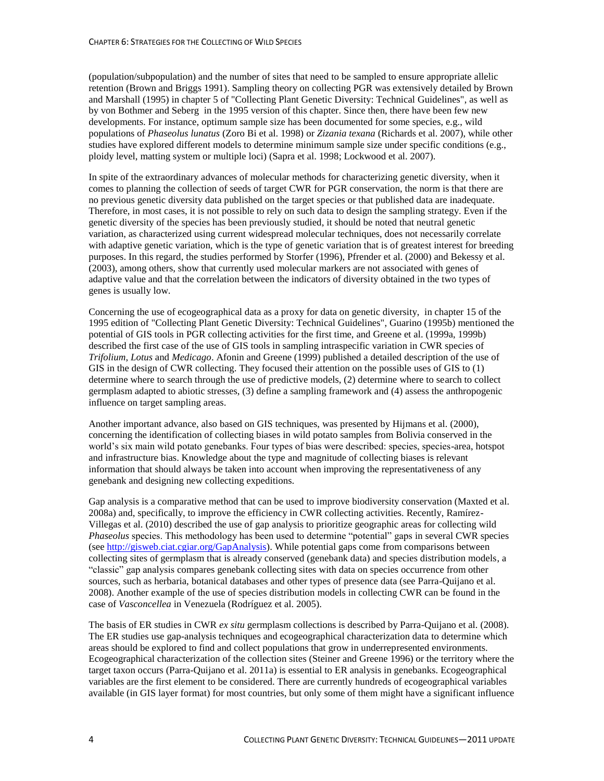(population/subpopulation) and the number of sites that need to be sampled to ensure appropriate allelic retention (Brown and Briggs 1991). Sampling theory on collecting PGR was extensively detailed by Brown and Marshall (1995) in chapter 5 of "Collecting Plant Genetic Diversity: Technical Guidelines", as well as by von Bothmer and Seberg in the 1995 version of this chapter. Since then, there have been few new developments. For instance, optimum sample size has been documented for some species, e.g., wild populations of *Phaseolus lunatus* (Zoro Bi et al. 1998) or *Zizania texana* (Richards et al. 2007), while other studies have explored different models to determine minimum sample size under specific conditions (e.g., ploidy level, matting system or multiple loci) (Sapra et al. 1998; Lockwood et al. 2007).

In spite of the extraordinary advances of molecular methods for characterizing genetic diversity, when it comes to planning the collection of seeds of target CWR for PGR conservation, the norm is that there are no previous genetic diversity data published on the target species or that published data are inadequate. Therefore, in most cases, it is not possible to rely on such data to design the sampling strategy. Even if the genetic diversity of the species has been previously studied, it should be noted that neutral genetic variation, as characterized using current widespread molecular techniques, does not necessarily correlate with adaptive genetic variation, which is the type of genetic variation that is of greatest interest for breeding purposes. In this regard, the studies performed by Storfer (1996), Pfrender et al. (2000) and Bekessy et al. (2003), among others, show that currently used molecular markers are not associated with genes of adaptive value and that the correlation between the indicators of diversity obtained in the two types of genes is usually low.

Concerning the use of ecogeographical data as a proxy for data on genetic diversity, in chapter 15 of the 1995 edition of "Collecting Plant Genetic Diversity: Technical Guidelines", Guarino (1995b) mentioned the potential of GIS tools in PGR collecting activities for the first time, and Greene et al. (1999a, 1999b) described the first case of the use of GIS tools in sampling intraspecific variation in CWR species of *Trifolium*, *Lotus* and *Medicago*. Afonin and Greene (1999) published a detailed description of the use of GIS in the design of CWR collecting. They focused their attention on the possible uses of GIS to (1) determine where to search through the use of predictive models, (2) determine where to search to collect germplasm adapted to abiotic stresses, (3) define a sampling framework and (4) assess the anthropogenic influence on target sampling areas.

Another important advance, also based on GIS techniques, was presented by Hijmans et al. (2000), concerning the identification of collecting biases in wild potato samples from Bolivia conserved in the world's six main wild potato genebanks. Four types of bias were described: species, species-area, hotspot and infrastructure bias. Knowledge about the type and magnitude of collecting biases is relevant information that should always be taken into account when improving the representativeness of any genebank and designing new collecting expeditions.

Gap analysis is a comparative method that can be used to improve biodiversity conservation (Maxted et al. 2008a) and, specifically, to improve the efficiency in CWR collecting activities. Recently, Ramírez-Villegas et al. (2010) described the use of gap analysis to prioritize geographic areas for collecting wild *Phaseolus* species. This methodology has been used to determine "potential" gaps in several CWR species (see [http://gisweb.ciat.cgiar.org/GapAnalysis\)](http://gisweb.ciat.cgiar.org/GapAnalysis/). While potential gaps come from comparisons between collecting sites of germplasm that is already conserved (genebank data) and species distribution models, a "classic" gap analysis compares genebank collecting sites with data on species occurrence from other sources, such as herbaria, botanical databases and other types of presence data (see Parra-Quijano et al. 2008). Another example of the use of species distribution models in collecting CWR can be found in the case of *Vasconcellea* in Venezuela (Rodríguez et al. 2005).

The basis of ER studies in CWR *ex situ* germplasm collections is described by Parra-Quijano et al. (2008). The ER studies use gap-analysis techniques and ecogeographical characterization data to determine which areas should be explored to find and collect populations that grow in underrepresented environments. Ecogeographical characterization of the collection sites (Steiner and Greene 1996) or the territory where the target taxon occurs (Parra-Quijano et al. 2011a) is essential to ER analysis in genebanks. Ecogeographical variables are the first element to be considered. There are currently hundreds of ecogeographical variables available (in GIS layer format) for most countries, but only some of them might have a significant influence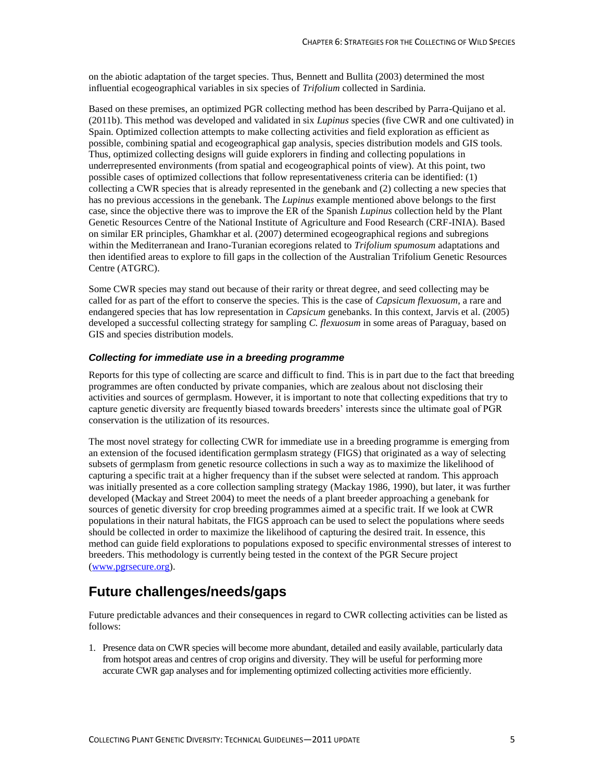on the abiotic adaptation of the target species. Thus, Bennett and Bullita (2003) determined the most influential ecogeographical variables in six species of *Trifolium* collected in Sardinia.

Based on these premises, an optimized PGR collecting method has been described by Parra-Quijano et al. (2011b). This method was developed and validated in six *Lupinus* species (five CWR and one cultivated) in Spain. Optimized collection attempts to make collecting activities and field exploration as efficient as possible, combining spatial and ecogeographical gap analysis, species distribution models and GIS tools. Thus, optimized collecting designs will guide explorers in finding and collecting populations in underrepresented environments (from spatial and ecogeographical points of view). At this point, two possible cases of optimized collections that follow representativeness criteria can be identified: (1) collecting a CWR species that is already represented in the genebank and (2) collecting a new species that has no previous accessions in the genebank. The *Lupinus* example mentioned above belongs to the first case, since the objective there was to improve the ER of the Spanish *Lupinus* collection held by the Plant Genetic Resources Centre of the National Institute of Agriculture and Food Research (CRF-INIA). Based on similar ER principles, Ghamkhar et al. (2007) determined ecogeographical regions and subregions within the Mediterranean and Irano-Turanian ecoregions related to *Trifolium spumosum* adaptations and then identified areas to explore to fill gaps in the collection of the Australian Trifolium Genetic Resources Centre (ATGRC).

Some CWR species may stand out because of their rarity or threat degree, and seed collecting may be called for as part of the effort to conserve the species. This is the case of *Capsicum flexuosum*, a rare and endangered species that has low representation in *Capsicum* genebanks. In this context, Jarvis et al. (2005) developed a successful collecting strategy for sampling *C. flexuosum* in some areas of Paraguay, based on GIS and species distribution models.

#### *Collecting for immediate use in a breeding programme*

Reports for this type of collecting are scarce and difficult to find. This is in part due to the fact that breeding programmes are often conducted by private companies, which are zealous about not disclosing their activities and sources of germplasm. However, it is important to note that collecting expeditions that try to capture genetic diversity are frequently biased towards breeders' interests since the ultimate goal of PGR conservation is the utilization of its resources.

The most novel strategy for collecting CWR for immediate use in a breeding programme is emerging from an extension of the focused identification germplasm strategy (FIGS) that originated as a way of selecting subsets of germplasm from genetic resource collections in such a way as to maximize the likelihood of capturing a specific trait at a higher frequency than if the subset were selected at random. This approach was initially presented as a core collection sampling strategy (Mackay 1986, 1990), but later, it was further developed (Mackay and Street 2004) to meet the needs of a plant breeder approaching a genebank for sources of genetic diversity for crop breeding programmes aimed at a specific trait. If we look at CWR populations in their natural habitats, the FIGS approach can be used to select the populations where seeds should be collected in order to maximize the likelihood of capturing the desired trait. In essence, this method can guide field explorations to populations exposed to specific environmental stresses of interest to breeders. This methodology is currently being tested in the context of the PGR Secure project [\(www.pgrsecure.org\)](http://www.pgrsecure.org/).

# **Future challenges/needs/gaps**

Future predictable advances and their consequences in regard to CWR collecting activities can be listed as follows:

1. Presence data on CWR species will become more abundant, detailed and easily available, particularly data from hotspot areas and centres of crop origins and diversity. They will be useful for performing more accurate CWR gap analyses and for implementing optimized collecting activities more efficiently.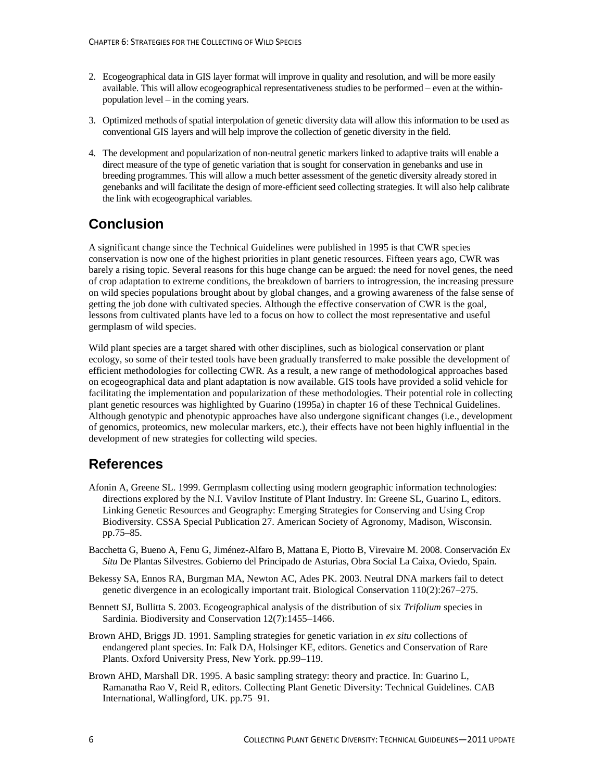- 2. Ecogeographical data in GIS layer format will improve in quality and resolution, and will be more easily available. This will allow ecogeographical representativeness studies to be performed – even at the withinpopulation level – in the coming years.
- 3. Optimized methods of spatial interpolation of genetic diversity data will allow this information to be used as conventional GIS layers and will help improve the collection of genetic diversity in the field.
- 4. The development and popularization of non-neutral genetic markers linked to adaptive traits will enable a direct measure of the type of genetic variation that is sought for conservation in genebanks and use in breeding programmes. This will allow a much better assessment of the genetic diversity already stored in genebanks and will facilitate the design of more-efficient seed collecting strategies. It will also help calibrate the link with ecogeographical variables.

# **Conclusion**

A significant change since the Technical Guidelines were published in 1995 is that CWR species conservation is now one of the highest priorities in plant genetic resources. Fifteen years ago, CWR was barely a rising topic. Several reasons for this huge change can be argued: the need for novel genes, the need of crop adaptation to extreme conditions, the breakdown of barriers to introgression, the increasing pressure on wild species populations brought about by global changes, and a growing awareness of the false sense of getting the job done with cultivated species. Although the effective conservation of CWR is the goal, lessons from cultivated plants have led to a focus on how to collect the most representative and useful germplasm of wild species.

Wild plant species are a target shared with other disciplines, such as biological conservation or plant ecology, so some of their tested tools have been gradually transferred to make possible the development of efficient methodologies for collecting CWR. As a result, a new range of methodological approaches based on ecogeographical data and plant adaptation is now available. GIS tools have provided a solid vehicle for facilitating the implementation and popularization of these methodologies. Their potential role in collecting plant genetic resources was highlighted by Guarino (1995a) in chapter 16 of these Technical Guidelines. Although genotypic and phenotypic approaches have also undergone significant changes (i.e., development of genomics, proteomics, new molecular markers, etc.), their effects have not been highly influential in the development of new strategies for collecting wild species.

### **References**

- Afonin A, Greene SL. 1999. Germplasm collecting using modern geographic information technologies: directions explored by the N.I. Vavilov Institute of Plant Industry. In: Greene SL, Guarino L, editors. Linking Genetic Resources and Geography: Emerging Strategies for Conserving and Using Crop Biodiversity. CSSA Special Publication 27. American Society of Agronomy, Madison, Wisconsin. pp.75–85.
- Bacchetta G, Bueno A, Fenu G, Jiménez-Alfaro B, Mattana E, Piotto B, Virevaire M. 2008. Conservación *Ex Situ* De Plantas Silvestres. Gobierno del Principado de Asturias, Obra Social La Caixa, Oviedo, Spain.
- Bekessy SA, Ennos RA, Burgman MA, Newton AC, Ades PK. 2003. Neutral DNA markers fail to detect genetic divergence in an ecologically important trait. Biological Conservation 110(2):267–275.
- Bennett SJ, Bullitta S. 2003. Ecogeographical analysis of the distribution of six *Trifolium* species in Sardinia. Biodiversity and Conservation 12(7):1455–1466.
- Brown AHD, Briggs JD. 1991. Sampling strategies for genetic variation in *ex situ* collections of endangered plant species. In: Falk DA, Holsinger KE, editors. Genetics and Conservation of Rare Plants. Oxford University Press, New York. pp.99–119.
- Brown AHD, Marshall DR. 1995. A basic sampling strategy: theory and practice. In: Guarino L, Ramanatha Rao V, Reid R, editors. Collecting Plant Genetic Diversity: Technical Guidelines. CAB International, Wallingford, UK. pp.75–91.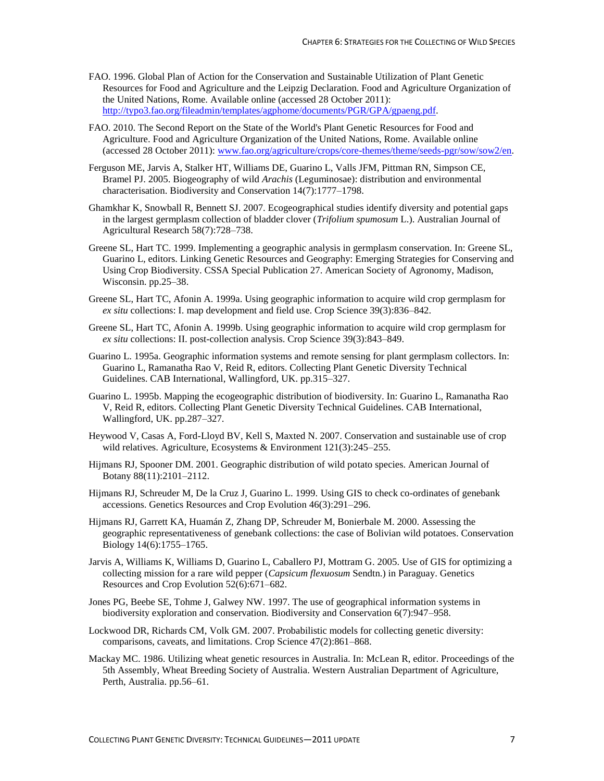- FAO. 1996. Global Plan of Action for the Conservation and Sustainable Utilization of Plant Genetic Resources for Food and Agriculture and the Leipzig Declaration. Food and Agriculture Organization of the United Nations, Rome. Available online (accessed 28 October 2011): [http://typo3.fao.org/fileadmin/templates/agphome/documents/PGR/GPA/gpaeng.pdf.](http://typo3.fao.org/fileadmin/templates/agphome/documents/PGR/GPA/gpaeng.pdf)
- FAO. 2010. The Second Report on the State of the World's Plant Genetic Resources for Food and Agriculture. Food and Agriculture Organization of the United Nations, Rome. Available online (accessed 28 October 2011)[: www.fao.org/agriculture/crops/core-themes/theme/seeds-pgr/sow/sow2/en.](http://www.fao.org/agriculture/crops/core-themes/theme/seeds-pgr/sow/sow2/en/)
- Ferguson ME, Jarvis A, Stalker HT, Williams DE, Guarino L, Valls JFM, Pittman RN, Simpson CE, Bramel PJ. 2005. Biogeography of wild *Arachis* (Leguminosae): distribution and environmental characterisation. Biodiversity and Conservation 14(7):1777–1798.
- Ghamkhar K, Snowball R, Bennett SJ. 2007. Ecogeographical studies identify diversity and potential gaps in the largest germplasm collection of bladder clover (*Trifolium spumosum* L.). Australian Journal of Agricultural Research 58(7):728–738.
- Greene SL, Hart TC. 1999. Implementing a geographic analysis in germplasm conservation. In: Greene SL, Guarino L, editors. Linking Genetic Resources and Geography: Emerging Strategies for Conserving and Using Crop Biodiversity. CSSA Special Publication 27. American Society of Agronomy, Madison, Wisconsin. pp.25–38.
- Greene SL, Hart TC, Afonin A. 1999a. Using geographic information to acquire wild crop germplasm for *ex situ* collections: I. map development and field use. Crop Science 39(3):836–842.
- Greene SL, Hart TC, Afonin A. 1999b. Using geographic information to acquire wild crop germplasm for *ex situ* collections: II. post-collection analysis. Crop Science 39(3):843–849.
- Guarino L. 1995a. Geographic information systems and remote sensing for plant germplasm collectors. In: Guarino L, Ramanatha Rao V, Reid R, editors. Collecting Plant Genetic Diversity Technical Guidelines. CAB International, Wallingford, UK. pp.315–327.
- Guarino L. 1995b. Mapping the ecogeographic distribution of biodiversity. In: Guarino L, Ramanatha Rao V, Reid R, editors. Collecting Plant Genetic Diversity Technical Guidelines. CAB International, Wallingford, UK. pp.287–327.
- Heywood V, Casas A, Ford-Lloyd BV, Kell S, Maxted N. 2007. Conservation and sustainable use of crop wild relatives. Agriculture, Ecosystems & Environment 121(3):245–255.
- Hijmans RJ, Spooner DM. 2001. Geographic distribution of wild potato species. American Journal of Botany 88(11):2101–2112.
- Hijmans RJ, Schreuder M, De la Cruz J, Guarino L. 1999. Using GIS to check co-ordinates of genebank accessions. Genetics Resources and Crop Evolution 46(3):291–296.
- Hijmans RJ, Garrett KA, Huamán Z, Zhang DP, Schreuder M, Bonierbale M. 2000. Assessing the geographic representativeness of genebank collections: the case of Bolivian wild potatoes. Conservation Biology 14(6):1755–1765.
- Jarvis A, Williams K, Williams D, Guarino L, Caballero PJ, Mottram G. 2005. Use of GIS for optimizing a collecting mission for a rare wild pepper (*Capsicum flexuosum* Sendtn.) in Paraguay. Genetics Resources and Crop Evolution 52(6):671–682.
- Jones PG, Beebe SE, Tohme J, Galwey NW. 1997. The use of geographical information systems in biodiversity exploration and conservation. Biodiversity and Conservation 6(7):947–958.
- Lockwood DR, Richards CM, Volk GM. 2007. Probabilistic models for collecting genetic diversity: comparisons, caveats, and limitations. Crop Science 47(2):861–868.
- Mackay MC. 1986. Utilizing wheat genetic resources in Australia. In: McLean R, editor. Proceedings of the 5th Assembly, Wheat Breeding Society of Australia. Western Australian Department of Agriculture, Perth, Australia. pp.56–61.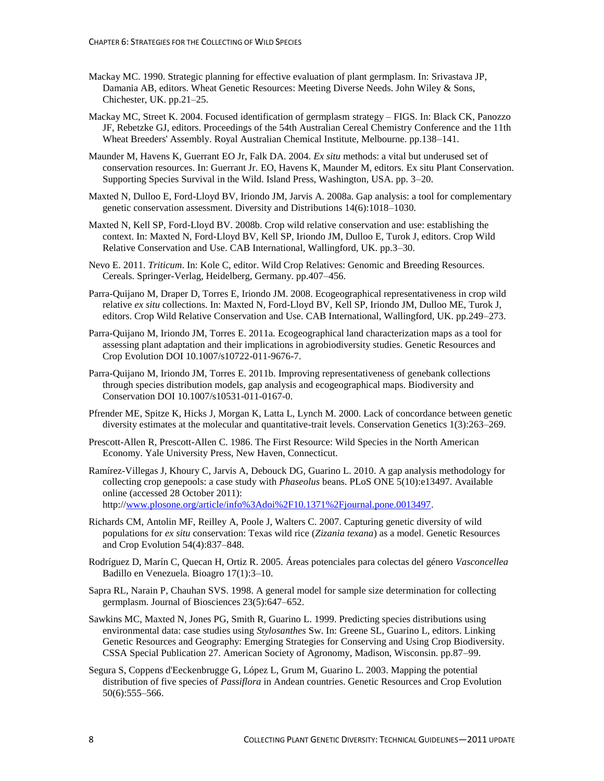- Mackay MC. 1990. Strategic planning for effective evaluation of plant germplasm. In: Srivastava JP, Damania AB, editors. Wheat Genetic Resources: Meeting Diverse Needs. John Wiley & Sons, Chichester, UK. pp.21–25.
- Mackay MC, Street K. 2004. Focused identification of germplasm strategy FIGS. In: Black CK, Panozzo JF, Rebetzke GJ, editors. Proceedings of the 54th Australian Cereal Chemistry Conference and the 11th Wheat Breeders' Assembly. Royal Australian Chemical Institute, Melbourne. pp.138–141.
- Maunder M, Havens K, Guerrant EO Jr, Falk DA. 2004. *Ex situ* methods: a vital but underused set of conservation resources. In: Guerrant Jr. EO, Havens K, Maunder M, editors. Ex situ Plant Conservation. Supporting Species Survival in the Wild. Island Press, Washington, USA. pp. 3–20.
- Maxted N, Dulloo E, Ford-Lloyd BV, Iriondo JM, Jarvis A. 2008a. Gap analysis: a tool for complementary genetic conservation assessment. Diversity and Distributions 14(6):1018–1030.
- Maxted N, Kell SP, Ford-Lloyd BV. 2008b. Crop wild relative conservation and use: establishing the context. In: Maxted N, Ford-Lloyd BV, Kell SP, Iriondo JM, Dulloo E, Turok J, editors. Crop Wild Relative Conservation and Use. CAB International, Wallingford, UK. pp.3–30.
- Nevo E. 2011. *Triticum*. In: Kole C, editor. Wild Crop Relatives: Genomic and Breeding Resources. Cereals. Springer-Verlag, Heidelberg, Germany. pp.407–456.
- Parra-Quijano M, Draper D, Torres E, Iriondo JM. 2008. Ecogeographical representativeness in crop wild relative *ex situ* collections. In: Maxted N, Ford-Lloyd BV, Kell SP, Iriondo JM, Dulloo ME, Turok J, editors. Crop Wild Relative Conservation and Use. CAB International, Wallingford, UK. pp.249–273.
- Parra-Quijano M, Iriondo JM, Torres E. 2011a. Ecogeographical land characterization maps as a tool for assessing plant adaptation and their implications in agrobiodiversity studies. Genetic Resources and Crop Evolution DOI 10.1007/s10722-011-9676-7.
- Parra-Quijano M, Iriondo JM, Torres E. 2011b. Improving representativeness of genebank collections through species distribution models, gap analysis and ecogeographical maps. Biodiversity and Conservation DOI 10.1007/s10531-011-0167-0.
- Pfrender ME, Spitze K, Hicks J, Morgan K, Latta L, Lynch M. 2000. Lack of concordance between genetic diversity estimates at the molecular and quantitative-trait levels. Conservation Genetics 1(3):263–269.
- Prescott-Allen R, Prescott-Allen C. 1986. The First Resource: Wild Species in the North American Economy. Yale University Press, New Haven, Connecticut.
- Ramírez-Villegas J, Khoury C, Jarvis A, Debouck DG, Guarino L. 2010. A gap analysis methodology for collecting crop genepools: a case study with *Phaseolus* beans. PLoS ONE 5(10):e13497. Available online (accessed 28 October 2011): http:/[/www.plosone.org/article/info%3Adoi%2F10.1371%2Fjournal.pone.0013497.](http://www.plosone.org/article/info%3Adoi%2F10.1371%2Fjournal.pone.0013497)
- Richards CM, Antolin MF, Reilley A, Poole J, Walters C. 2007. Capturing genetic diversity of wild populations for *ex situ* conservation: Texas wild rice (*Zizania texana*) as a model. Genetic Resources and Crop Evolution 54(4):837–848.
- Rodríguez D, Marín C, Quecan H, Ortiz R. 2005. Áreas potenciales para colectas del género *Vasconcellea* Badillo en Venezuela. Bioagro 17(1):3–10.
- Sapra RL, Narain P, Chauhan SVS. 1998. A general model for sample size determination for collecting germplasm. Journal of Biosciences 23(5):647–652.
- Sawkins MC, Maxted N, Jones PG, Smith R, Guarino L. 1999. Predicting species distributions using environmental data: case studies using *Stylosanthes* Sw. In: Greene SL, Guarino L, editors. Linking Genetic Resources and Geography: Emerging Strategies for Conserving and Using Crop Biodiversity. CSSA Special Publication 27. American Society of Agronomy, Madison, Wisconsin. pp.87–99.
- Segura S, Coppens d'Eeckenbrugge G, López L, Grum M, Guarino L. 2003. Mapping the potential distribution of five species of *Passiflora* in Andean countries. Genetic Resources and Crop Evolution 50(6):555–566.